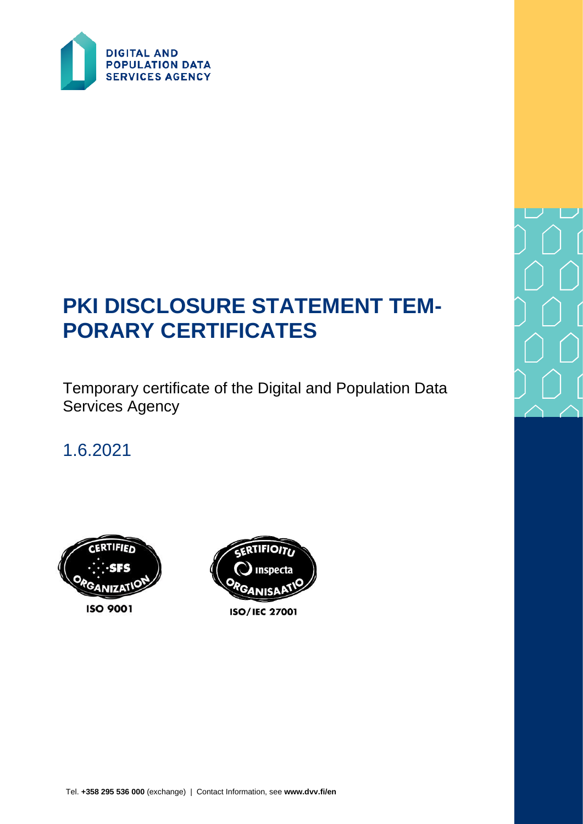

# **PKI DISCLOSURE STATEMENT TEM-PORARY CERTIFICATES**

Temporary certificate of the Digital and Population Data Services Agency

1.6.2021





**ISO/IEC 27001** 

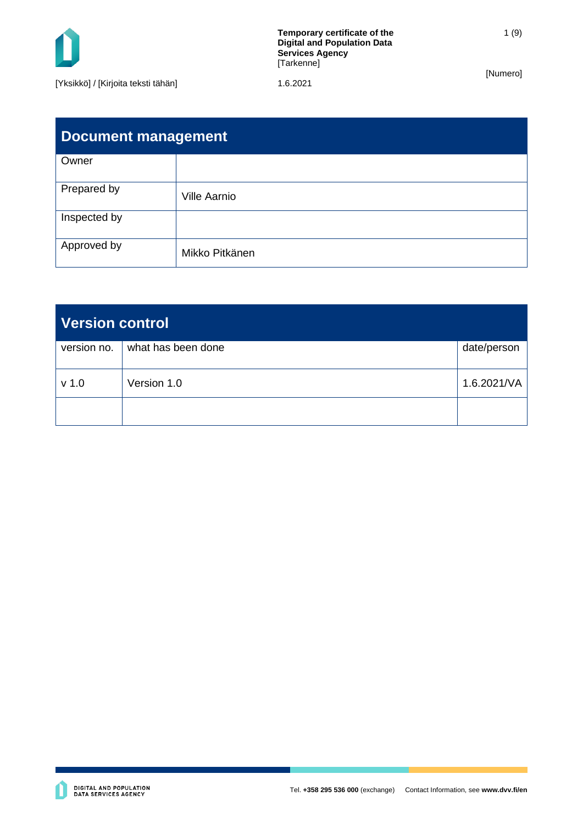

| <b>Document management</b> |                     |  |  |
|----------------------------|---------------------|--|--|
| Owner                      |                     |  |  |
| Prepared by                | <b>Ville Aarnio</b> |  |  |
| Inspected by               |                     |  |  |
| Approved by                | Mikko Pitkänen      |  |  |

| <b>Version control</b> |                    |             |  |
|------------------------|--------------------|-------------|--|
| version no.            | what has been done | date/person |  |
| $v$ 1.0                | Version 1.0        | 1.6.2021/VA |  |
|                        |                    |             |  |

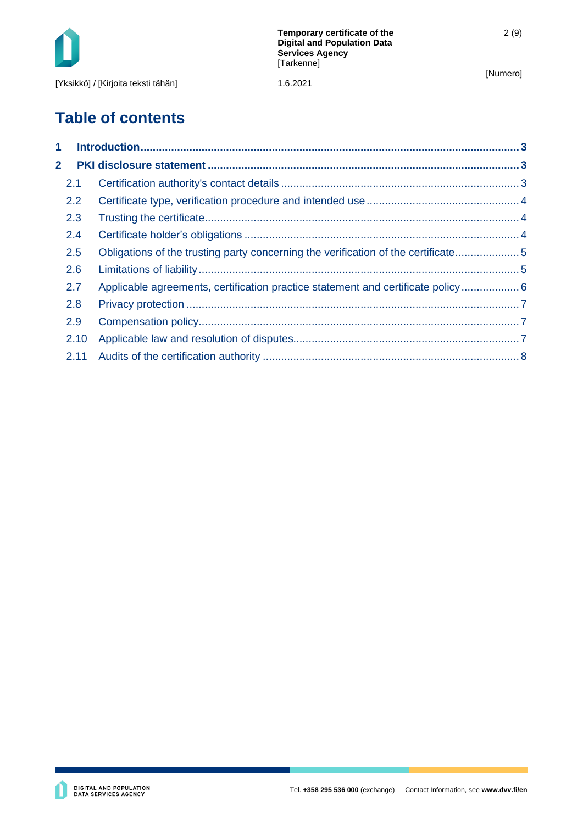

## **Table of contents**

| $\mathbf 1$    |      |                                                                                   |  |
|----------------|------|-----------------------------------------------------------------------------------|--|
| $\overline{2}$ |      |                                                                                   |  |
|                | 2.1  |                                                                                   |  |
|                | 2.2  |                                                                                   |  |
|                | 2.3  |                                                                                   |  |
|                | 2.4  |                                                                                   |  |
|                | 2.5  | Obligations of the trusting party concerning the verification of the certificate5 |  |
|                | 2.6  |                                                                                   |  |
|                | 2.7  | Applicable agreements, certification practice statement and certificate policy 6  |  |
|                | 2.8  |                                                                                   |  |
|                | 2.9  |                                                                                   |  |
|                | 2.10 |                                                                                   |  |
|                | 2.11 |                                                                                   |  |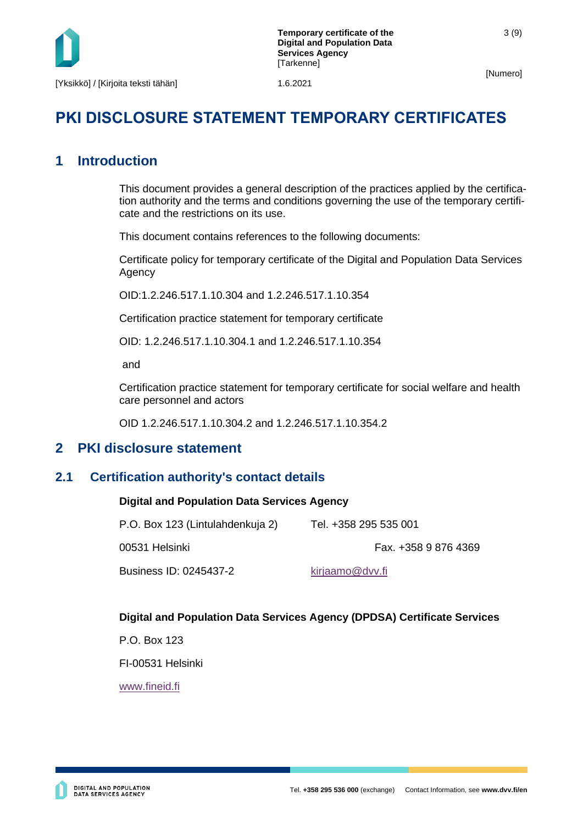

### **PKI DISCLOSURE STATEMENT TEMPORARY CERTIFICATES**

### <span id="page-3-0"></span>**1 Introduction**

This document provides a general description of the practices applied by the certification authority and the terms and conditions governing the use of the temporary certificate and the restrictions on its use.

This document contains references to the following documents:

Certificate policy for temporary certificate of the Digital and Population Data Services Agency

OID:1.2.246.517.1.10.304 and 1.2.246.517.1.10.354

Certification practice statement for temporary certificate

OID: 1.2.246.517.1.10.304.1 and 1.2.246.517.1.10.354

and

Certification practice statement for temporary certificate for social welfare and health care personnel and actors

OID 1.2.246.517.1.10.304.2 and 1.2.246.517.1.10.354.2

#### <span id="page-3-1"></span>**2 PKI disclosure statement**

#### <span id="page-3-2"></span>**2.1 Certification authority's contact details**

#### **Digital and Population Data Services Agency**

| P.O. Box 123 (Lintulahdenkuja 2) | Tel. +358 295 535 001 |
|----------------------------------|-----------------------|
| 00531 Helsinki                   | Fax. +358 9 876 4369  |
| Business ID: 0245437-2           | kirjaamo@dvv.fi       |

#### **Digital and Population Data Services Agency (DPDSA) Certificate Services**

P.O. Box 123

FI-00531 Helsinki

[www.fineid.fi](http://www.fineid.fi/)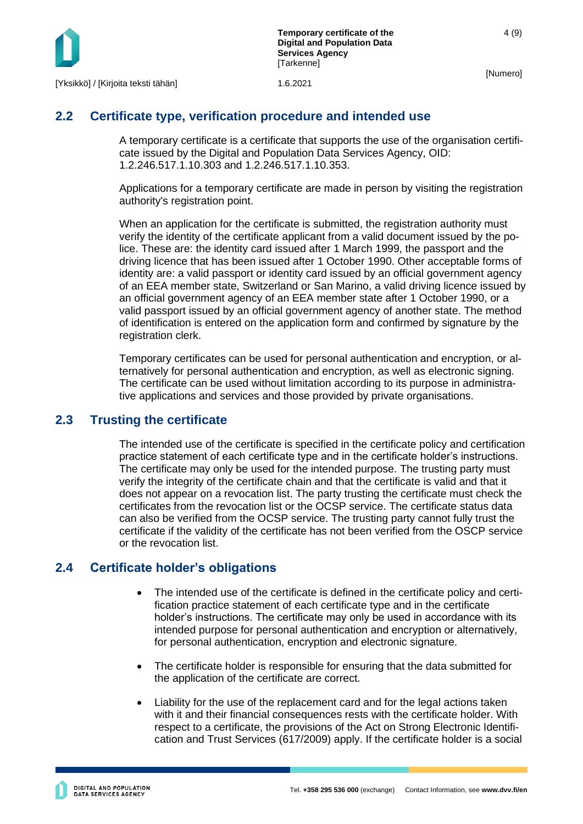

#### <span id="page-4-0"></span>**2.2 Certificate type, verification procedure and intended use**

A temporary certificate is a certificate that supports the use of the organisation certificate issued by the Digital and Population Data Services Agency, OID: 1.2.246.517.1.10.303 and 1.2.246.517.1.10.353.

Applications for a temporary certificate are made in person by visiting the registration authority's registration point.

When an application for the certificate is submitted, the registration authority must verify the identity of the certificate applicant from a valid document issued by the police. These are: the identity card issued after 1 March 1999, the passport and the driving licence that has been issued after 1 October 1990. Other acceptable forms of identity are: a valid passport or identity card issued by an official government agency of an EEA member state, Switzerland or San Marino, a valid driving licence issued by an official government agency of an EEA member state after 1 October 1990, or a valid passport issued by an official government agency of another state. The method of identification is entered on the application form and confirmed by signature by the registration clerk.

Temporary certificates can be used for personal authentication and encryption, or alternatively for personal authentication and encryption, as well as electronic signing. The certificate can be used without limitation according to its purpose in administrative applications and services and those provided by private organisations.

#### <span id="page-4-1"></span>**2.3 Trusting the certificate**

The intended use of the certificate is specified in the certificate policy and certification practice statement of each certificate type and in the certificate holder's instructions. The certificate may only be used for the intended purpose. The trusting party must verify the integrity of the certificate chain and that the certificate is valid and that it does not appear on a revocation list. The party trusting the certificate must check the certificates from the revocation list or the OCSP service. The certificate status data can also be verified from the OCSP service. The trusting party cannot fully trust the certificate if the validity of the certificate has not been verified from the OSCP service or the revocation list.

#### <span id="page-4-2"></span>**2.4 Certificate holder's obligations**

- The intended use of the certificate is defined in the certificate policy and certification practice statement of each certificate type and in the certificate holder's instructions. The certificate may only be used in accordance with its intended purpose for personal authentication and encryption or alternatively, for personal authentication, encryption and electronic signature.
- The certificate holder is responsible for ensuring that the data submitted for the application of the certificate are correct.
- Liability for the use of the replacement card and for the legal actions taken with it and their financial consequences rests with the certificate holder. With respect to a certificate, the provisions of the Act on Strong Electronic Identification and Trust Services (617/2009) apply. If the certificate holder is a social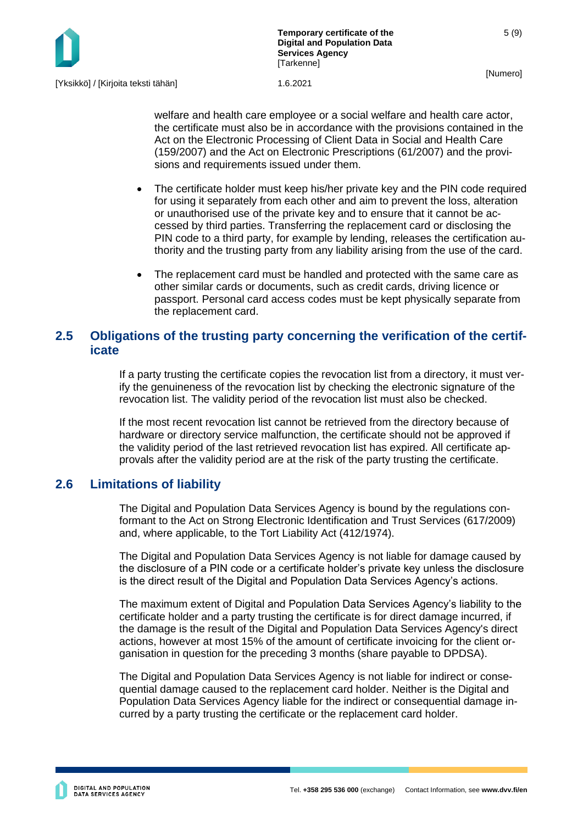5 (9)

welfare and health care employee or a social welfare and health care actor, the certificate must also be in accordance with the provisions contained in the Act on the Electronic Processing of Client Data in Social and Health Care (159/2007) and the Act on Electronic Prescriptions (61/2007) and the provisions and requirements issued under them.

- The certificate holder must keep his/her private key and the PIN code required for using it separately from each other and aim to prevent the loss, alteration or unauthorised use of the private key and to ensure that it cannot be accessed by third parties. Transferring the replacement card or disclosing the PIN code to a third party, for example by lending, releases the certification authority and the trusting party from any liability arising from the use of the card.
- The replacement card must be handled and protected with the same care as other similar cards or documents, such as credit cards, driving licence or passport. Personal card access codes must be kept physically separate from the replacement card.

#### <span id="page-5-0"></span>**2.5 Obligations of the trusting party concerning the verification of the certificate**

If a party trusting the certificate copies the revocation list from a directory, it must verify the genuineness of the revocation list by checking the electronic signature of the revocation list. The validity period of the revocation list must also be checked.

If the most recent revocation list cannot be retrieved from the directory because of hardware or directory service malfunction, the certificate should not be approved if the validity period of the last retrieved revocation list has expired. All certificate approvals after the validity period are at the risk of the party trusting the certificate.

#### <span id="page-5-1"></span>**2.6 Limitations of liability**

The Digital and Population Data Services Agency is bound by the regulations conformant to the Act on Strong Electronic Identification and Trust Services (617/2009) and, where applicable, to the Tort Liability Act (412/1974).

The Digital and Population Data Services Agency is not liable for damage caused by the disclosure of a PIN code or a certificate holder's private key unless the disclosure is the direct result of the Digital and Population Data Services Agency's actions.

The maximum extent of Digital and Population Data Services Agency's liability to the certificate holder and a party trusting the certificate is for direct damage incurred, if the damage is the result of the Digital and Population Data Services Agency's direct actions, however at most 15% of the amount of certificate invoicing for the client organisation in question for the preceding 3 months (share payable to DPDSA).

The Digital and Population Data Services Agency is not liable for indirect or consequential damage caused to the replacement card holder. Neither is the Digital and Population Data Services Agency liable for the indirect or consequential damage incurred by a party trusting the certificate or the replacement card holder.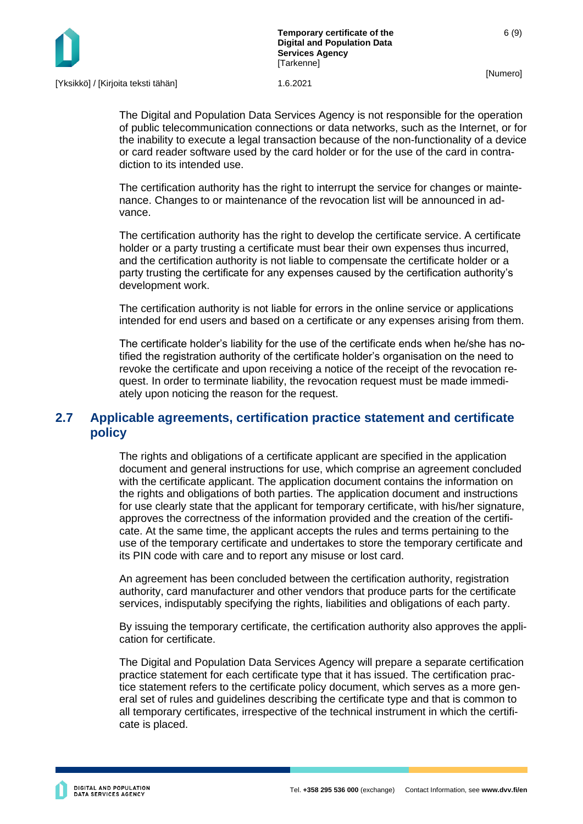

6 (9)

The Digital and Population Data Services Agency is not responsible for the operation of public telecommunication connections or data networks, such as the Internet, or for the inability to execute a legal transaction because of the non-functionality of a device or card reader software used by the card holder or for the use of the card in contradiction to its intended use.

The certification authority has the right to interrupt the service for changes or maintenance. Changes to or maintenance of the revocation list will be announced in advance.

The certification authority has the right to develop the certificate service. A certificate holder or a party trusting a certificate must bear their own expenses thus incurred, and the certification authority is not liable to compensate the certificate holder or a party trusting the certificate for any expenses caused by the certification authority's development work.

The certification authority is not liable for errors in the online service or applications intended for end users and based on a certificate or any expenses arising from them.

The certificate holder's liability for the use of the certificate ends when he/she has notified the registration authority of the certificate holder's organisation on the need to revoke the certificate and upon receiving a notice of the receipt of the revocation request. In order to terminate liability, the revocation request must be made immediately upon noticing the reason for the request.

#### <span id="page-6-0"></span>**2.7 Applicable agreements, certification practice statement and certificate policy**

The rights and obligations of a certificate applicant are specified in the application document and general instructions for use, which comprise an agreement concluded with the certificate applicant. The application document contains the information on the rights and obligations of both parties. The application document and instructions for use clearly state that the applicant for temporary certificate, with his/her signature, approves the correctness of the information provided and the creation of the certificate. At the same time, the applicant accepts the rules and terms pertaining to the use of the temporary certificate and undertakes to store the temporary certificate and its PIN code with care and to report any misuse or lost card.

An agreement has been concluded between the certification authority, registration authority, card manufacturer and other vendors that produce parts for the certificate services, indisputably specifying the rights, liabilities and obligations of each party.

By issuing the temporary certificate, the certification authority also approves the application for certificate.

The Digital and Population Data Services Agency will prepare a separate certification practice statement for each certificate type that it has issued. The certification practice statement refers to the certificate policy document, which serves as a more general set of rules and guidelines describing the certificate type and that is common to all temporary certificates, irrespective of the technical instrument in which the certificate is placed.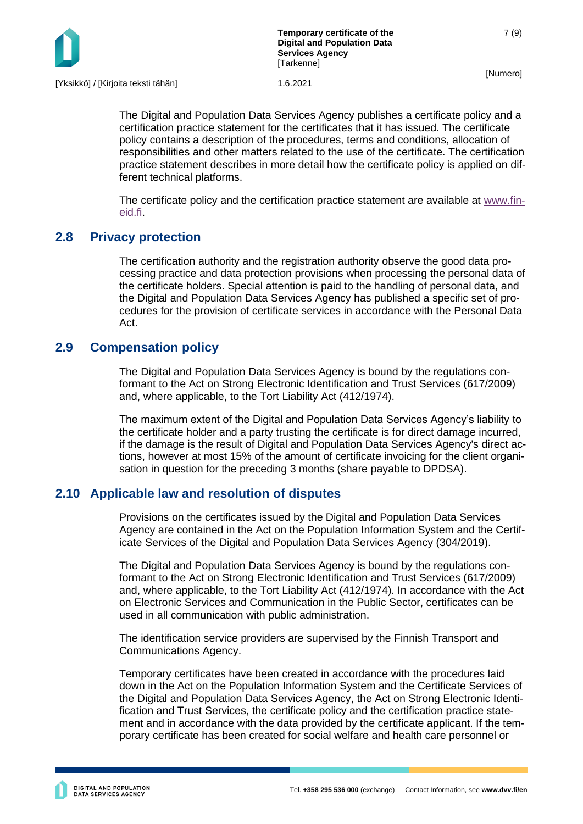

7 (9)

The Digital and Population Data Services Agency publishes a certificate policy and a certification practice statement for the certificates that it has issued. The certificate policy contains a description of the procedures, terms and conditions, allocation of responsibilities and other matters related to the use of the certificate. The certification practice statement describes in more detail how the certificate policy is applied on different technical platforms.

The certificate policy and the certification practice statement are available at [www.fin](http://www.fineid.fi/)[eid.fi.](http://www.fineid.fi/)

#### <span id="page-7-0"></span>**2.8 Privacy protection**

The certification authority and the registration authority observe the good data processing practice and data protection provisions when processing the personal data of the certificate holders. Special attention is paid to the handling of personal data, and the Digital and Population Data Services Agency has published a specific set of procedures for the provision of certificate services in accordance with the Personal Data Act.

#### <span id="page-7-1"></span>**2.9 Compensation policy**

The Digital and Population Data Services Agency is bound by the regulations conformant to the Act on Strong Electronic Identification and Trust Services (617/2009) and, where applicable, to the Tort Liability Act (412/1974).

The maximum extent of the Digital and Population Data Services Agency's liability to the certificate holder and a party trusting the certificate is for direct damage incurred, if the damage is the result of Digital and Population Data Services Agency's direct actions, however at most 15% of the amount of certificate invoicing for the client organisation in question for the preceding 3 months (share payable to DPDSA).

#### <span id="page-7-2"></span>**2.10 Applicable law and resolution of disputes**

Provisions on the certificates issued by the Digital and Population Data Services Agency are contained in the Act on the Population Information System and the Certificate Services of the Digital and Population Data Services Agency (304/2019).

The Digital and Population Data Services Agency is bound by the regulations conformant to the Act on Strong Electronic Identification and Trust Services (617/2009) and, where applicable, to the Tort Liability Act (412/1974). In accordance with the Act on Electronic Services and Communication in the Public Sector, certificates can be used in all communication with public administration.

The identification service providers are supervised by the Finnish Transport and Communications Agency.

Temporary certificates have been created in accordance with the procedures laid down in the Act on the Population Information System and the Certificate Services of the Digital and Population Data Services Agency, the Act on Strong Electronic Identification and Trust Services, the certificate policy and the certification practice statement and in accordance with the data provided by the certificate applicant. If the temporary certificate has been created for social welfare and health care personnel or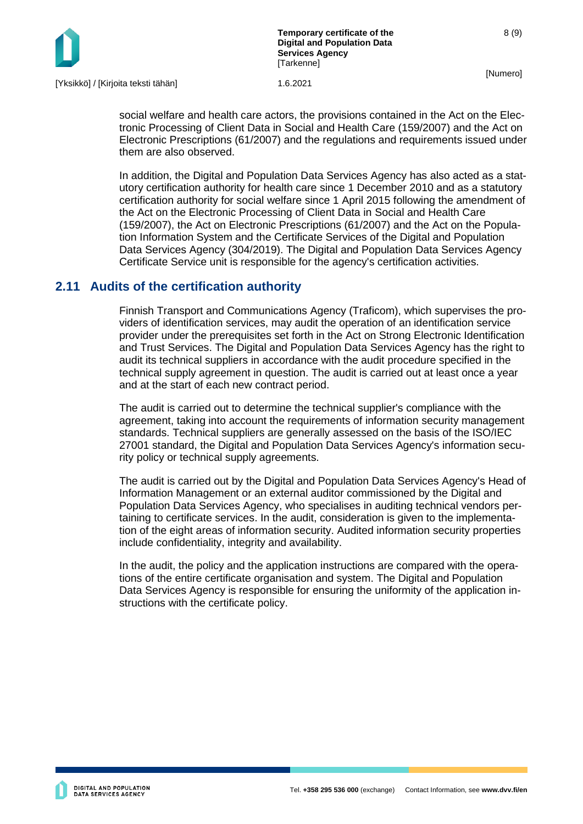

social welfare and health care actors, the provisions contained in the Act on the Electronic Processing of Client Data in Social and Health Care (159/2007) and the Act on Electronic Prescriptions (61/2007) and the regulations and requirements issued under them are also observed.

In addition, the Digital and Population Data Services Agency has also acted as a statutory certification authority for health care since 1 December 2010 and as a statutory certification authority for social welfare since 1 April 2015 following the amendment of the Act on the Electronic Processing of Client Data in Social and Health Care (159/2007), the Act on Electronic Prescriptions (61/2007) and the Act on the Population Information System and the Certificate Services of the Digital and Population Data Services Agency (304/2019). The Digital and Population Data Services Agency Certificate Service unit is responsible for the agency's certification activities.

#### <span id="page-8-0"></span>**2.11 Audits of the certification authority**

Finnish Transport and Communications Agency (Traficom), which supervises the providers of identification services, may audit the operation of an identification service provider under the prerequisites set forth in the Act on Strong Electronic Identification and Trust Services. The Digital and Population Data Services Agency has the right to audit its technical suppliers in accordance with the audit procedure specified in the technical supply agreement in question. The audit is carried out at least once a year and at the start of each new contract period.

The audit is carried out to determine the technical supplier's compliance with the agreement, taking into account the requirements of information security management standards. Technical suppliers are generally assessed on the basis of the ISO/IEC 27001 standard, the Digital and Population Data Services Agency's information security policy or technical supply agreements.

The audit is carried out by the Digital and Population Data Services Agency's Head of Information Management or an external auditor commissioned by the Digital and Population Data Services Agency, who specialises in auditing technical vendors pertaining to certificate services. In the audit, consideration is given to the implementation of the eight areas of information security. Audited information security properties include confidentiality, integrity and availability.

In the audit, the policy and the application instructions are compared with the operations of the entire certificate organisation and system. The Digital and Population Data Services Agency is responsible for ensuring the uniformity of the application instructions with the certificate policy.